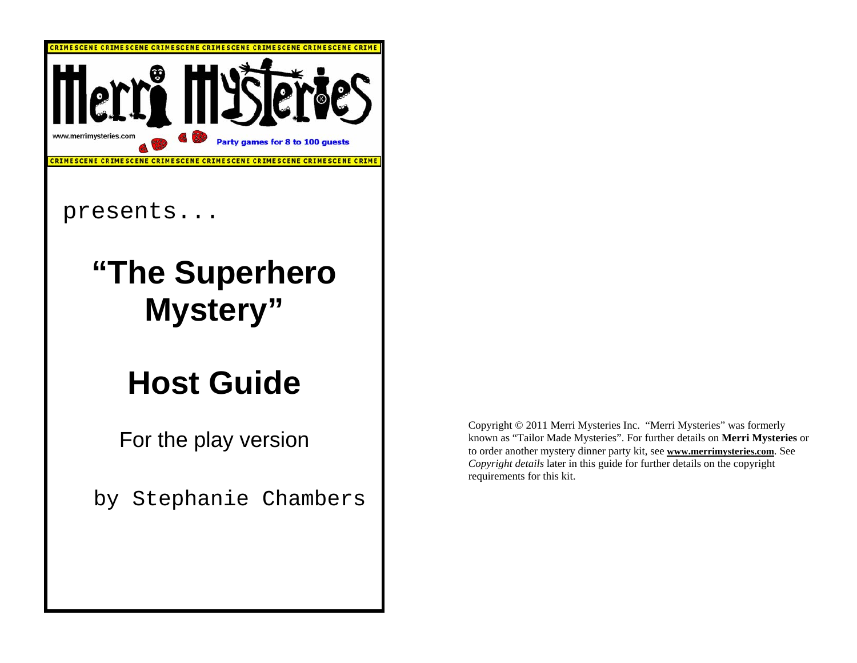

Copyright © 2011 Merri Mysteries Inc. "Merri Mysteries" was formerly known as "Tailor Made Mysteries". For further details on **Merri Mysteries** or to order another mystery dinner party kit, see **www.merrimysteries.com**. See *Copyright details* later in this guide for further details on the copyright requirements for this kit.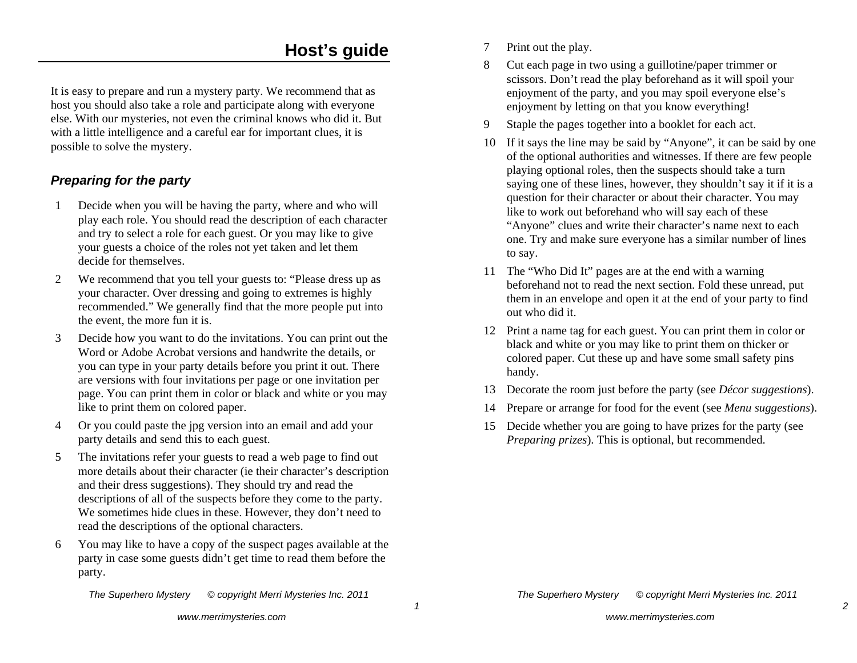# **Host's guide**

It is easy to prepare and run a mystery party. We recommend that as host you should also take a role and participate along with everyone else. With our mysteries, not even the criminal knows who did it. But with a little intelligence and a careful ear for important clues, it is possible to solve the mystery.

# *Preparing for the party*

- 1 Decide when you will be having the party, where and who will play each role. You should read the description of each character and try to select a role for each guest. Or you may like to give your guests a choice of the roles not yet taken and let them decide for themselves.
- 2 We recommend that you tell your guests to: "Please dress up as your character. Over dressing and going to extremes is highly recommended." We generally find that the more people put into the event, the more fun it is.
- 3 Decide how you want to do the invitations. You can print out the Word or Adobe Acrobat versions and handwrite the details, or you can type in your party details before you print it out. There are versions with four invitations per page or one invitation per page. You can print them in color or black and white or you may like to print them on colored paper.
- 4 Or you could paste the jpg version into an email and add your party details and send this to each guest.
- 5 The invitations refer your guests to read a web page to find out more details about their character (ie their character's description and their dress suggestions). They should try and read the descriptions of all of the suspects before they come to the party. We sometimes hide clues in these. However, they don't need to read the descriptions of the optional characters.
- 6 You may like to have a copy of the suspect pages available at the party in case some guests didn't get time to read them before the party.

*The Superhero Mystery © copyright Merri Mysteries Inc. 2011*

- 7 Print out the play.
- 8 Cut each page in two using a guillotine/paper trimmer or scissors. Don't read the play beforehand as it will spoil your enjoyment of the party, and you may spoil everyone else's enjoyment by letting on that you know everything!
- 9 Staple the pages together into a booklet for each act.
- 10 If it says the line may be said by "Anyone", it can be said by one of the optional authorities and witnesses. If there are few people playing optional roles, then the suspects should take a turn saying one of these lines, however, they shouldn't say it if it is a question for their character or about their character. You may like to work out beforehand who will say each of these "Anyone" clues and write their character's name next to each one. Try and make sure everyone has a similar number of lines to say.
- 11 The "Who Did It" pages are at the end with a warning beforehand not to read the next section. Fold these unread, put them in an envelope and open it at the end of your party to find out who did it.
- 12 Print a name tag for each guest. You can print them in color or black and white or you may like to print them on thicker or colored paper. Cut these up and have some small safety pins handy.
- 13 Decorate the room just before the party (see *Décor suggestions*).
- 14 Prepare or arrange for food for the event (see *Menu suggestions*).
- 15 Decide whether you are going to have prizes for the party (see *Preparing prizes*). This is optional, but recommended.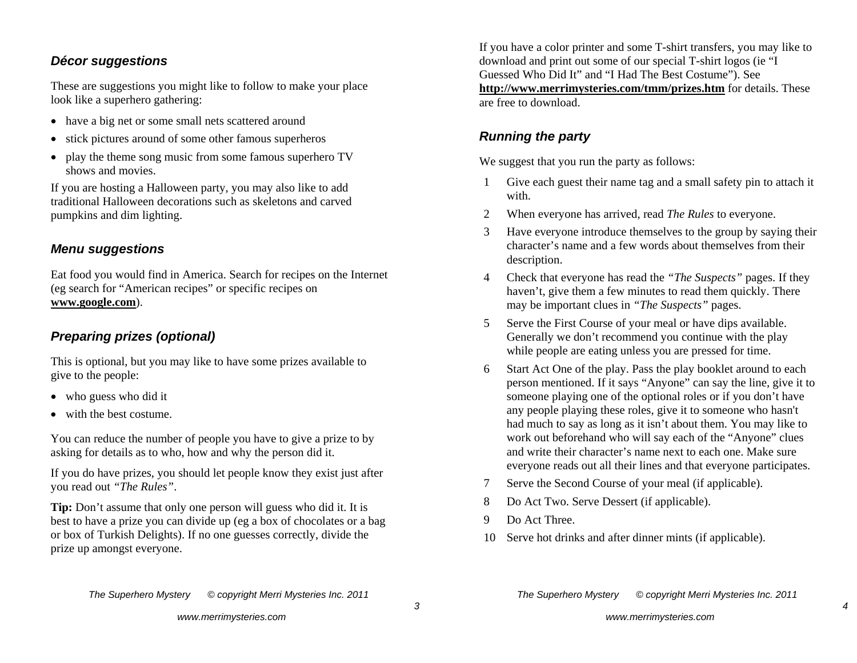#### *Décor suggestions*

These are suggestions you might like to follow to make your place look like a superhero gathering:

- have a big net or some small nets scattered around
- stick pictures around of some other famous superheros
- $\bullet$  play the theme song music from some famous superhero TV shows and movies.

If you are hosting a Halloween party, you may also like to add traditional Halloween decorations such as skeletons and carved pumpkins and dim lighting.

### *Menu suggestions*

Eat food you would find in America. Search for recipes on the Internet (eg search for "American recipes" or specific recipes on **www.google.com**).

# *Preparing prizes (optional)*

This is optional, but you may like to have some prizes available to give to the people:

- who guess who did it
- with the best costume.

You can reduce the number of people you have to give a prize to by asking for details as to who, how and why the person did it.

If you do have prizes, you should let people know they exist just after you read out *"The Rules"*.

**Tip:** Don't assume that only one person will guess who did it. It is best to have a prize you can divide up (eg a box of chocolates or a bag or box of Turkish Delights). If no one guesses correctly, divide the prize up amongst everyone.

If you have a color printer and some T-shirt transfers, you may like to download and print out some of our special T-shirt logos (ie "I Guessed Who Did It" and "I Had The Best Costume"). See **http://www.merrimysteries.com/tmm/prizes.htm** for details. These are free to download.

# *Running the party*

We suggest that you run the party as follows:

- 1 Give each guest their name tag and a small safety pin to attach it with.
- 2 When everyone has arrived, read *The Rules* to everyone.
- 3 Have everyone introduce themselves to the group by saying their character's name and a few words about themselves from their description.
- 4 Check that everyone has read the *"The Suspects"* pages. If they haven't, give them a few minutes to read them quickly. There may be important clues in *"The Suspects"* pages.
- 5 Serve the First Course of your meal or have dips available. Generally we don't recommend you continue with the play while people are eating unless you are pressed for time.
- 6 Start Act One of the play. Pass the play booklet around to each person mentioned. If it says "Anyone" can say the line, give it to someone playing one of the optional roles or if you don't have any people playing these roles, give it to someone who hasn't had much to say as long as it isn't about them. You may like to work out beforehand who will say each of the "Anyone" clues and write their character's name next to each one. Make sure everyone reads out all their lines and that everyone participates.
- 7 Serve the Second Course of your meal (if applicable).
- 8 Do Act Two. Serve Dessert (if applicable).
- 9 Do Act Three.
- 10 Serve hot drinks and after dinner mints (if applicable).

*The Superhero Mystery © copyright Merri Mysteries Inc. 2011*

*The Superhero Mystery © copyright Merri Mysteries Inc. 2011*